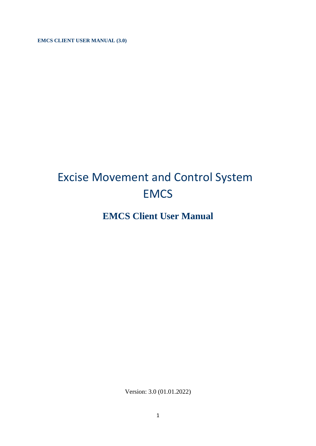**EMCS CLIENT USER MANUAL (3.0)** 

# Excise Movement and Control System **EMCS**

# **EMCS Client User Manual**

Version: 3.0 (01.01.2022)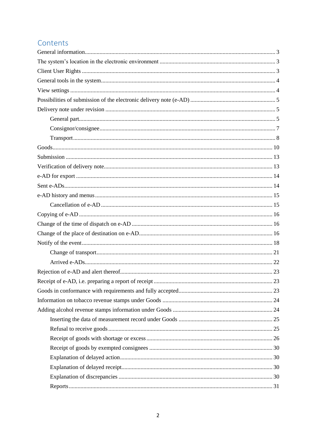# Contents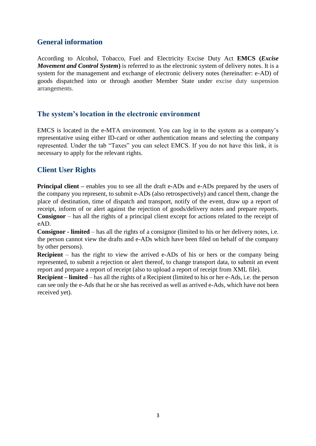# <span id="page-2-0"></span>**General information**

According to Alcohol, Tobacco, Fuel and Electricity Excise Duty Act **EMCS (***Excise Movement and Control System***)** is referred to as the electronic system of delivery notes. It is a system for the management and exchange of electronic delivery notes (hereinafter: e-AD) of goods dispatched into or through another Member State under excise duty suspension arrangements.

### <span id="page-2-1"></span>**The system's location in the electronic environment**

EMCS is located in the e-MTA environment. You can log in to the system as a company's representative using either ID-card or other authentication means and selecting the company represented. Under the tab "Taxes" you can select EMCS. If you do not have this link, it is necessary to apply for the relevant rights.

# <span id="page-2-2"></span>**Client User Rights**

**Principal client** – enables you to see all the draft e-ADs and e-ADs prepared by the users of the company you represent, to submit e-ADs (also retrospectively) and cancel them, change the place of destination, time of dispatch and transport, notify of the event, draw up a report of receipt, inform of or alert against the rejection of goods/delivery notes and prepare reports. **Consignor** – has all the rights of a principal client except for actions related to the receipt of eAD.

**Consignor - limited** – has all the rights of a consignor (limited to his or her delivery notes, i.e. the person cannot view the drafts and e-ADs which have been filed on behalf of the company by other persons).

**Recipient** – has the right to view the arrived e-ADs of his or hers or the company being represented, to submit a rejection or alert thereof, to change transport data, to submit an event report and prepare a report of receipt (also to upload a report of receipt from XML file).

**Recipient – limited** – has all the rights of a Recipient (limited to his or her e-Ads, i.e. the person can see only the e-Ads that he or she has received as well as arrived e-Ads, which have not been received yet).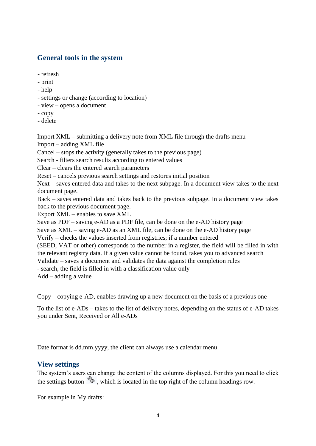### <span id="page-3-0"></span>**General tools in the system**

- refresh
- print
- help
- settings or change (according to location)
- view opens a document
- copy
- delete

Import XML – submitting a delivery note from XML file through the drafts menu

Import – adding XML file

Cancel – stops the activity (generally takes to the previous page)

Search - filters search results according to entered values

Clear – clears the entered search parameters

Reset – cancels previous search settings and restores initial position

Next – saves entered data and takes to the next subpage. In a document view takes to the next document page.

Back – saves entered data and takes back to the previous subpage. In a document view takes back to the previous document page.

Export XML – enables to save XML

Save as PDF – saving e-AD as a PDF file, can be done on the e-AD history page

Save as XML – saving e-AD as an XML file, can be done on the e-AD history page

Verify – checks the values inserted from registries; if a number entered

(SEED, VAT or other) corresponds to the number in a register, the field will be filled in with the relevant registry data. If a given value cannot be found, takes you to advanced search

Validate – saves a document and validates the data against the completion rules

- search, the field is filled in with a classification value only

Add – adding a value

Copy – copying e-AD, enables drawing up a new document on the basis of a previous one

To the list of e-ADs – takes to the list of delivery notes, depending on the status of e-AD takes you under Sent, Received or All e-ADs

Date format is dd.mm.yyyy, the client can always use a calendar menu.

#### <span id="page-3-1"></span>**View settings**

The system's users can change the content of the columns displayed. For this you need to click the settings button  $\mathbb{S}^2$ , which is located in the top right of the column headings row.

For example in My drafts: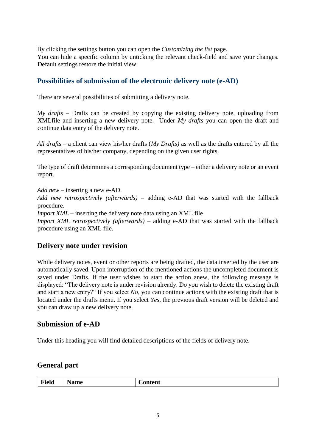By clicking the settings button you can open the *Customizing the list* page. You can hide a specific column by unticking the relevant check-field and save your changes. Default settings restore the initial view.

# <span id="page-4-0"></span>**Possibilities of submission of the electronic delivery note (e-AD)**

There are several possibilities of submitting a delivery note.

*My drafts* – Drafts can be created by copying the existing delivery note, uploading from XMLfile and inserting a new delivery note. Under *My drafts* you can open the draft and continue data entry of the delivery note.

*All drafts* – a client can view his/her drafts (*My Drafts)* as well as the drafts entered by all the representatives of his/her company, depending on the given user rights.

The type of draft determines a corresponding document type – either a delivery note or an event report.

*Add new* – inserting a new e-AD.

*Add new retrospectively (afterwards) –* adding e-AD that was started with the fallback procedure.

*Import XML* – inserting the delivery note data using an XML file

*Import XML retrospectively (afterwards)* – adding e-AD that was started with the fallback procedure using an XML file.

# <span id="page-4-1"></span>**Delivery note under revision**

While delivery notes, event or other reports are being drafted, the data inserted by the user are automatically saved. Upon interruption of the mentioned actions the uncompleted document is saved under Drafts. If the user wishes to start the action anew, the following message is displayed: "The delivery note is under revision already. Do you wish to delete the existing draft and start a new entry?" If you select *No,* you can continue actions with the existing draft that is located under the drafts menu. If you select *Yes*, the previous draft version will be deleted and you can draw up a new delivery note.

#### **Submission of e-AD**

Under this heading you will find detailed descriptions of the fields of delivery note.

#### <span id="page-4-2"></span>**General part**

| Field<br>Name | <b>Content</b> |
|---------------|----------------|
|---------------|----------------|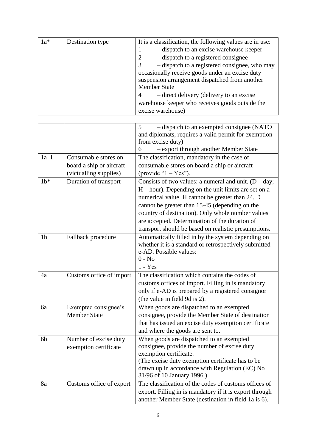| $1a*$ | Destination type | It is a classification, the following values are in use: |
|-------|------------------|----------------------------------------------------------|
|       |                  | - dispatch to an excise warehouse keeper                 |
|       |                  | - dispatch to a registered consignee                     |
|       |                  | - dispatch to a registered consignee, who may            |
|       |                  | occasionally receive goods under an excise duty          |
|       |                  | suspension arrangement dispatched from another           |
|       |                  | <b>Member State</b>                                      |
|       |                  | - direct delivery (delivery to an excise                 |
|       |                  | warehouse keeper who receives goods outside the          |
|       |                  | excise warehouse)                                        |

|                |                          | - dispatch to an exempted consignee (NATO<br>5          |
|----------------|--------------------------|---------------------------------------------------------|
|                |                          | and diplomats, requires a valid permit for exemption    |
|                |                          | from excise duty)                                       |
|                |                          | - export through another Member State<br>6              |
| $1a_1$         | Consumable stores on     | The classification, mandatory in the case of            |
|                | board a ship or aircraft | consumable stores on board a ship or aircraft           |
|                | (victualling supplies)   | (provide " $1 - Yes$ ").                                |
| $1b*$          | Duration of transport    | Consists of two values: a numeral and unit. $(D - day;$ |
|                |                          | $H$ – hour). Depending on the unit limits are set on a  |
|                |                          | numerical value. H cannot be greater than 24. D         |
|                |                          | cannot be greater than 15-45 (depending on the          |
|                |                          | country of destination). Only whole number values       |
|                |                          | are accepted. Determination of the duration of          |
|                |                          | transport should be based on realistic presumptions.    |
| 1 <sub>h</sub> | Fallback procedure       | Automatically filled in by the system depending on      |
|                |                          | whether it is a standard or retrospectively submitted   |
|                |                          | e-AD. Possible values:                                  |
|                |                          | $0 - No$                                                |
|                |                          | $1 - Yes$                                               |
| 4a             | Customs office of import | The classification which contains the codes of          |
|                |                          | customs offices of import. Filling in is mandatory      |
|                |                          | only if e-AD is prepared by a registered consignor      |
|                |                          | (the value in field 9d is 2).                           |
| 6a             | Exempted consignee's     | When goods are dispatched to an exempted                |
|                | <b>Member State</b>      | consignee, provide the Member State of destination      |
|                |                          | that has issued an excise duty exemption certificate    |
|                |                          | and where the goods are sent to.                        |
| 6 <sub>b</sub> | Number of excise duty    | When goods are dispatched to an exempted                |
|                | exemption certificate    | consignee, provide the number of excise duty            |
|                |                          | exemption certificate.                                  |
|                |                          | (The excise duty exemption certificate has to be        |
|                |                          | drawn up in accordance with Regulation (EC) No          |
|                |                          | 31/96 of 10 January 1996.)                              |
| 8a             | Customs office of export | The classification of the codes of customs offices of   |
|                |                          | export. Filling in is mandatory if it is export through |
|                |                          | another Member State (destination in field 1a is 6).    |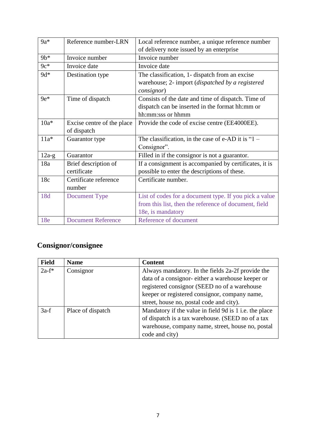| $9a*$   | Reference number-LRN       | Local reference number, a unique reference number      |
|---------|----------------------------|--------------------------------------------------------|
|         |                            | of delivery note issued by an enterprise               |
| $9b*$   | Invoice number             | Invoice number                                         |
| $9c*$   | Invoice date               | Invoice date                                           |
| $9d*$   | Destination type           | The classification, 1- dispatch from an excise         |
|         |                            | warehouse; 2- import (dispatched by a registered       |
|         |                            | consignor)                                             |
| $9e*$   | Time of dispatch           | Consists of the date and time of dispatch. Time of     |
|         |                            | dispatch can be inserted in the format hh:mm or        |
|         |                            | hh:mm:sss or hhmm                                      |
| $10a*$  | Excise centre of the place | Provide the code of excise centre (EE4000EE).          |
|         | of dispatch                |                                                        |
| $11a*$  | Guarantor type             | The classification, in the case of e-AD it is " $1 -$  |
|         |                            | Consignor".                                            |
| $12a-g$ | Guarantor                  | Filled in if the consignor is not a guarantor.         |
| 18a     | Brief description of       | If a consignment is accompanied by certificates, it is |
|         | certificate                | possible to enter the descriptions of these.           |
| 18c     | Certificate reference      | Certificate number.                                    |
|         | number                     |                                                        |
| 18d     | Document Type              | List of codes for a document type. If you pick a value |
|         |                            | from this list, then the reference of document, field  |
|         |                            | 18e, is mandatory                                      |
| 18e     | <b>Document Reference</b>  | Reference of document                                  |

# <span id="page-6-0"></span>**Consignor/consignee**

| <b>Field</b> | <b>Name</b>       | <b>Content</b>                                         |
|--------------|-------------------|--------------------------------------------------------|
| $2a-f^*$     | Consignor         | Always mandatory. In the fields 2a-2f provide the      |
|              |                   | data of a consignor-either a warehouse keeper or       |
|              |                   | registered consignor (SEED no of a warehouse           |
|              |                   | keeper or registered consignor, company name,          |
|              |                   | street, house no, postal code and city).               |
| $3a-f$       | Place of dispatch | Mandatory if the value in field 9d is 1 i.e. the place |
|              |                   | of dispatch is a tax warehouse. (SEED no of a tax      |
|              |                   | warehouse, company name, street, house no, postal      |
|              |                   | code and city)                                         |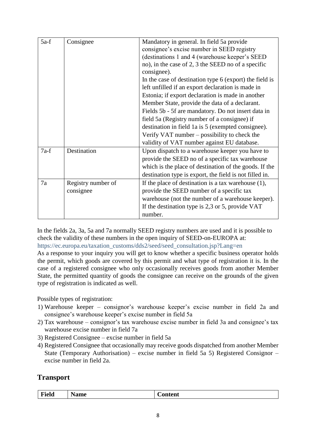| $5a-f$ | Consignee          | Mandatory in general. In field 5a provide               |
|--------|--------------------|---------------------------------------------------------|
|        |                    | consignee's excise number in SEED registry              |
|        |                    | (destinations 1 and 4 (warehouse keeper's SEED          |
|        |                    | no), in the case of 2, 3 the SEED no of a specific      |
|        |                    | consignee).                                             |
|        |                    | In the case of destination type 6 (export) the field is |
|        |                    | left unfilled if an export declaration is made in       |
|        |                    | Estonia; if export declaration is made in another       |
|        |                    | Member State, provide the data of a declarant.          |
|        |                    | Fields 5b - 5f are mandatory. Do not insert data in     |
|        |                    | field 5a (Registry number of a consignee) if            |
|        |                    | destination in field 1a is 5 (exempted consignee).      |
|        |                    | Verify VAT number $-$ possibility to check the          |
|        |                    | validity of VAT number against EU database.             |
| $7a-f$ | Destination        | Upon dispatch to a warehouse keeper you have to         |
|        |                    | provide the SEED no of a specific tax warehouse         |
|        |                    | which is the place of destination of the goods. If the  |
|        |                    | destination type is export, the field is not filled in. |
| 7a     | Registry number of | If the place of destination is a tax warehouse $(1)$ ,  |
|        | consignee          | provide the SEED number of a specific tax               |
|        |                    | warehouse (not the number of a warehouse keeper).       |
|        |                    | If the destination type is $2,3$ or 5, provide VAT      |
|        |                    | number.                                                 |

In the fields 2a, 3a, 5a and 7a normally SEED registry numbers are used and it is possible to check the validity of these numbers in the open inquiry of SEED-on-EUROPA at: https://ec.europa.eu/taxation\_customs/dds2/seed/seed\_consultation.jsp?Lang=en As a response to your inquiry you will get to know whether a specific business operator holds the permit, which goods are covered by this permit and what type of registration it is. In the case of a registered consignee who only occasionally receives goods from another Member State, the permitted quantity of goods the consignee can receive on the grounds of the given type of registration is indicated as well.

Possible types of registration:

- 1) Warehouse keeper consignor's warehouse keeper's excise number in field 2a and consignee's warehouse keeper's excise number in field 5a
- 2) Tax warehouse consignor's tax warehouse excise number in field 3a and consignee's tax warehouse excise number in field 7a
- 3) Registered Consignee excise number in field 5a
- 4) Registered Consignee that occasionally may receive goods dispatched from another Member State (Temporary Authorisation) – excise number in field 5a 5) Registered Consignor – excise number in field 2a.

# <span id="page-7-0"></span>**Transport**

| Field | <b>Name</b> | $\mathsf{\cup}$ ontent |
|-------|-------------|------------------------|
|       |             |                        |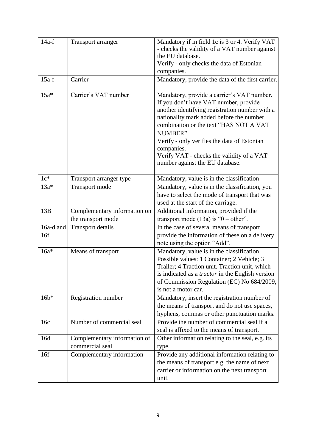| $14a-f$          | <b>Transport arranger</b>                          | Mandatory if in field 1c is 3 or 4. Verify VAT<br>- checks the validity of a VAT number against<br>the EU database.<br>Verify - only checks the data of Estonian<br>companies.                                                                                                                                                                                                       |
|------------------|----------------------------------------------------|--------------------------------------------------------------------------------------------------------------------------------------------------------------------------------------------------------------------------------------------------------------------------------------------------------------------------------------------------------------------------------------|
| $15a-f$          | Carrier                                            | Mandatory, provide the data of the first carrier.                                                                                                                                                                                                                                                                                                                                    |
| $15a*$           | Carrier's VAT number                               | Mandatory, provide a carrier's VAT number.<br>If you don't have VAT number, provide<br>another identifying registration number with a<br>nationality mark added before the number<br>combination or the text "HAS NOT A VAT<br>NUMBER".<br>Verify - only verifies the data of Estonian<br>companies.<br>Verify VAT - checks the validity of a VAT<br>number against the EU database. |
| $1c*$            | Transport arranger type                            | Mandatory, value is in the classification                                                                                                                                                                                                                                                                                                                                            |
| $13a*$           | <b>Transport mode</b>                              | Mandatory, value is in the classification, you<br>have to select the mode of transport that was<br>used at the start of the carriage.                                                                                                                                                                                                                                                |
| 13B              | Complementary information on<br>the transport mode | Additional information, provided if the<br>transport mode $(13a)$ is "0 – other".                                                                                                                                                                                                                                                                                                    |
| 16a-d and<br>16f | <b>Transport details</b>                           | In the case of several means of transport<br>provide the information of these on a delivery<br>note using the option "Add".                                                                                                                                                                                                                                                          |
| $16a*$           | Means of transport                                 | Mandatory, value is in the classification.<br>Possible values: 1 Container; 2 Vehicle; 3<br>Trailer; 4 Traction unit. Traction unit, which<br>is indicated as a <i>tractor</i> in the English version<br>of Commission Regulation (EC) No 684/2009,<br>is not a motor car.                                                                                                           |
| $16b*$           | Registration number                                | Mandatory, insert the registration number of<br>the means of transport and do not use spaces,<br>hyphens, commas or other punctuation marks.                                                                                                                                                                                                                                         |
| 16c              | Number of commercial seal                          | Provide the number of commercial seal if a<br>seal is affixed to the means of transport.                                                                                                                                                                                                                                                                                             |
| 16d              | Complementary information of<br>commercial seal    | Other information relating to the seal, e.g. its<br>type.                                                                                                                                                                                                                                                                                                                            |
| 16f              | Complementary information                          | Provide any additional information relating to<br>the means of transport e.g. the name of next<br>carrier or information on the next transport<br>unit.                                                                                                                                                                                                                              |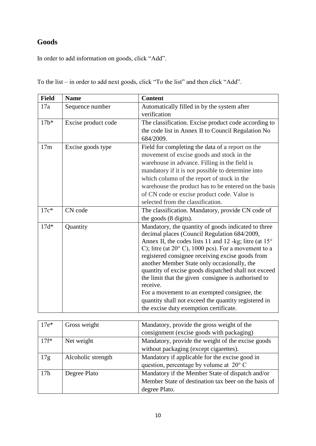# <span id="page-9-0"></span>**Goods**

In order to add information on goods, click "Add".

| <b>Field</b> | <b>Name</b>         | <b>Content</b>                                                                                      |
|--------------|---------------------|-----------------------------------------------------------------------------------------------------|
| 17a          | Sequence number     | Automatically filled in by the system after                                                         |
|              |                     | verification                                                                                        |
| $17b*$       | Excise product code | The classification. Excise product code according to                                                |
|              |                     | the code list in Annex II to Council Regulation No                                                  |
|              |                     | 684/2009.                                                                                           |
| 17m          | Excise goods type   | Field for completing the data of a report on the                                                    |
|              |                     | movement of excise goods and stock in the                                                           |
|              |                     | warehouse in advance. Filling in the field is                                                       |
|              |                     | mandatory if it is not possible to determine into                                                   |
|              |                     | which column of the report of stock in the                                                          |
|              |                     | warehouse the product has to be entered on the basis                                                |
|              |                     | of CN code or excise product code. Value is                                                         |
|              |                     | selected from the classification.                                                                   |
| $17c*$       | CN code             | The classification. Mandatory, provide CN code of                                                   |
|              |                     | the goods (8 digits).                                                                               |
| $17d*$       | Quantity            | Mandatory, the quantity of goods indicated to three<br>decimal places (Council Regulation 684/2009, |
|              |                     | Annex II, the codes lists 11 and 12 -kg; litre (at 15°                                              |
|              |                     | C); litre (at $20^{\circ}$ C), 1000 pcs). For a movement to a                                       |
|              |                     | registered consignee receiving excise goods from                                                    |
|              |                     | another Member State only occasionally, the                                                         |
|              |                     | quantity of excise goods dispatched shall not exceed                                                |
|              |                     | the limit that the given consignee is authorised to                                                 |
|              |                     | receive.                                                                                            |
|              |                     | For a movement to an exempted consignee, the                                                        |
|              |                     | quantity shall not exceed the quantity registered in                                                |
|              |                     | the excise duty exemption certificate.                                                              |

To the list – in order to add next goods, click "To the list" and then click "Add".

| $17e*$          | Gross weight       | Mandatory, provide the gross weight of the           |
|-----------------|--------------------|------------------------------------------------------|
|                 |                    | consignment (excise goods with packaging)            |
| $17f^*$         | Net weight         | Mandatory, provide the weight of the excise goods    |
|                 |                    | without packaging (except cigarettes).               |
| 17g             | Alcoholic strength | Mandatory if applicable for the excise good in       |
|                 |                    | question, percentage by volume at $20^{\circ}$ C     |
| 17 <sub>h</sub> | Degree Plato       | Mandatory if the Member State of dispatch and/or     |
|                 |                    | Member State of destination tax beer on the basis of |
|                 |                    | degree Plato.                                        |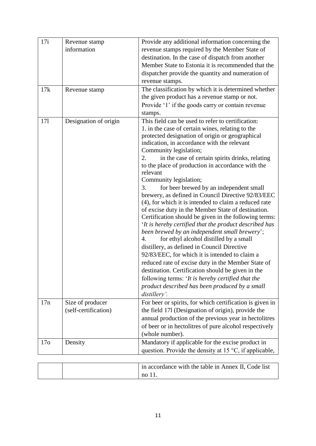| 17i             | Revenue stamp         | Provide any additional information concerning the                                                                                                        |
|-----------------|-----------------------|----------------------------------------------------------------------------------------------------------------------------------------------------------|
|                 | information           | revenue stamps required by the Member State of                                                                                                           |
|                 |                       | destination. In the case of dispatch from another                                                                                                        |
|                 |                       | Member State to Estonia it is recommended that the                                                                                                       |
|                 |                       | dispatcher provide the quantity and numeration of                                                                                                        |
|                 |                       | revenue stamps.                                                                                                                                          |
| 17k             | Revenue stamp         | The classification by which it is determined whether                                                                                                     |
|                 |                       | the given product has a revenue stamp or not.                                                                                                            |
|                 |                       | Provide '1' if the goods carry or contain revenue                                                                                                        |
|                 |                       | stamps.                                                                                                                                                  |
| 171             | Designation of origin | This field can be used to refer to certification:<br>1. in the case of certain wines, relating to the<br>protected designation of origin or geographical |
|                 |                       | indication, in accordance with the relevant                                                                                                              |
|                 |                       | Community legislation;                                                                                                                                   |
|                 |                       | 2.<br>in the case of certain spirits drinks, relating                                                                                                    |
|                 |                       | to the place of production in accordance with the                                                                                                        |
|                 |                       | relevant                                                                                                                                                 |
|                 |                       | Community legislation;                                                                                                                                   |
|                 |                       | for beer brewed by an independent small<br>3.                                                                                                            |
|                 |                       | brewery, as defined in Council Directive 92/83/EEC                                                                                                       |
|                 |                       | (4), for which it is intended to claim a reduced rate                                                                                                    |
|                 |                       | of excise duty in the Member State of destination.                                                                                                       |
|                 |                       | Certification should be given in the following terms:<br>'It is hereby certified that the product described has                                          |
|                 |                       | been brewed by an independent small brewery';                                                                                                            |
|                 |                       | for ethyl alcohol distilled by a small<br>4.                                                                                                             |
|                 |                       | distillery, as defined in Council Directive                                                                                                              |
|                 |                       | 92/83/EEC, for which it is intended to claim a                                                                                                           |
|                 |                       | reduced rate of excise duty in the Member State of                                                                                                       |
|                 |                       | destination. Certification should be given in the                                                                                                        |
|                 |                       | following terms: 'It is hereby certified that the                                                                                                        |
|                 |                       | product described has been produced by a small                                                                                                           |
|                 |                       | distillery'.                                                                                                                                             |
| 17n             | Size of producer      | For beer or spirits, for which certification is given in                                                                                                 |
|                 | (self-certification)  | the field 171 (Designation of origin), provide the                                                                                                       |
|                 |                       | annual production of the previous year in hectolitres                                                                                                    |
|                 |                       | of beer or in hectolitres of pure alcohol respectively                                                                                                   |
|                 |                       | (whole number).                                                                                                                                          |
| 17 <sub>o</sub> | Density               | Mandatory if applicable for the excise product in                                                                                                        |
|                 |                       | question. Provide the density at 15 °C, if applicable,                                                                                                   |
|                 |                       |                                                                                                                                                          |

|  | $\parallel$ in accordance with the table in Annex II, Code list |
|--|-----------------------------------------------------------------|
|  | no 11.                                                          |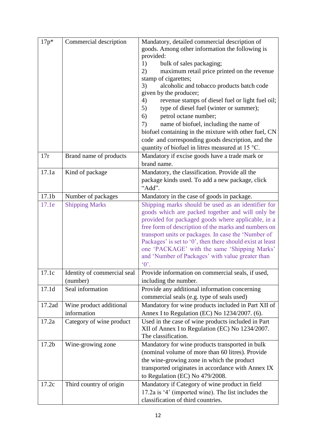| $17p*$            | Commercial description                 | Mandatory, detailed commercial description of<br>goods. Among other information the following is<br>provided:<br>bulk of sales packaging;<br>1)<br>2)<br>maximum retail price printed on the revenue<br>stamp of cigarettes;<br>alcoholic and tobacco products batch code<br>3)<br>given by the producer;<br>4)<br>revenue stamps of diesel fuel or light fuel oil;<br>type of diesel fuel (winter or summer);<br>5)<br>petrol octane number;<br>6)<br>name of biofuel, including the name of<br>7)<br>biofuel containing in the mixture with other fuel, CN<br>code and corresponding goods description, and the<br>quantity of biofuel in litres measured at 15 °C. |
|-------------------|----------------------------------------|-----------------------------------------------------------------------------------------------------------------------------------------------------------------------------------------------------------------------------------------------------------------------------------------------------------------------------------------------------------------------------------------------------------------------------------------------------------------------------------------------------------------------------------------------------------------------------------------------------------------------------------------------------------------------|
| 17r               | Brand name of products                 | Mandatory if excise goods have a trade mark or<br>brand name.                                                                                                                                                                                                                                                                                                                                                                                                                                                                                                                                                                                                         |
| 17.1a             | Kind of package                        | Mandatory, the classification. Provide all the<br>package kinds used. To add a new package, click<br>"Add".                                                                                                                                                                                                                                                                                                                                                                                                                                                                                                                                                           |
| 17.1 <sub>b</sub> | Number of packages                     | Mandatory in the case of goods in package.                                                                                                                                                                                                                                                                                                                                                                                                                                                                                                                                                                                                                            |
| 17.1e             | <b>Shipping Marks</b>                  | Shipping marks should be used as an identifier for<br>goods which are packed together and will only be<br>provided for packaged goods where applicable, in a<br>free form of description of the marks and numbers on<br>transport units or packages. In case the 'Number of<br>Packages' is set to '0', then there should exist at least<br>one 'PACKAGE' with the same 'Shipping Marks'<br>and 'Number of Packages' with value greater than<br>$\Omega$ .                                                                                                                                                                                                            |
| 17.1c             | Identity of commercial seal            | Provide information on commercial seals, if used.                                                                                                                                                                                                                                                                                                                                                                                                                                                                                                                                                                                                                     |
|                   | (number)                               | including the number.                                                                                                                                                                                                                                                                                                                                                                                                                                                                                                                                                                                                                                                 |
| 17.1d             | Seal information                       | Provide any additional information concerning<br>commercial seals (e.g. type of seals used)                                                                                                                                                                                                                                                                                                                                                                                                                                                                                                                                                                           |
| 17.2ad            | Wine product additional<br>information | Mandatory for wine products included in Part XII of<br>Annex I to Regulation (EC) No 1234/2007. (6).                                                                                                                                                                                                                                                                                                                                                                                                                                                                                                                                                                  |
| 17.2a             | Category of wine product               | Used in the case of wine products included in Part<br>XII of Annex I to Regulation (EC) No 1234/2007.<br>The classification.                                                                                                                                                                                                                                                                                                                                                                                                                                                                                                                                          |
| 17.2 <sub>b</sub> | Wine-growing zone                      | Mandatory for wine products transported in bulk<br>(nominal volume of more than 60 litres). Provide<br>the wine-growing zone in which the product<br>transported originates in accordance with Annex IX<br>to Regulation (EC) No 479/2008.                                                                                                                                                                                                                                                                                                                                                                                                                            |
| 17.2c             | Third country of origin                | Mandatory if Category of wine product in field<br>17.2a is '4' (imported wine). The list includes the<br>classification of third countries.                                                                                                                                                                                                                                                                                                                                                                                                                                                                                                                           |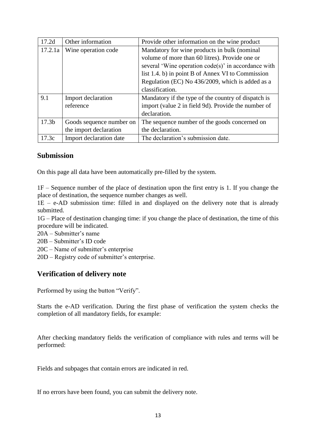| 17.2d             | Other information        | Provide other information on the wine product          |
|-------------------|--------------------------|--------------------------------------------------------|
| 17.2.1a           | Wine operation code      | Mandatory for wine products in bulk (nominal           |
|                   |                          | volume of more than 60 litres). Provide one or         |
|                   |                          | several 'Wine operation $code(s)$ ' in accordance with |
|                   |                          | list 1.4. b) in point B of Annex VI to Commission      |
|                   |                          | Regulation (EC) No 436/2009, which is added as a       |
|                   |                          | classification.                                        |
| 9.1               | Import declaration       | Mandatory if the type of the country of dispatch is    |
|                   | reference                | import (value 2 in field 9d). Provide the number of    |
|                   |                          | declaration.                                           |
| 17.3 <sub>b</sub> | Goods sequence number on | The sequence number of the goods concerned on          |
|                   | the import declaration   | the declaration.                                       |
| 17.3c             | Import declaration date  | The declaration's submission date.                     |

#### <span id="page-12-0"></span>**Submission**

On this page all data have been automatically pre-filled by the system.

1F – Sequence number of the place of destination upon the first entry is 1. If you change the place of destination, the sequence number changes as well.

1E – e-AD submission time: filled in and displayed on the delivery note that is already submitted.

1G – Place of destination changing time: if you change the place of destination, the time of this procedure will be indicated.

- 20A Submitter's name
- 20B Submitter's ID code
- 20C Name of submitter's enterprise
- 20D Registry code of submitter's enterprise.

#### <span id="page-12-1"></span>**Verification of delivery note**

Performed by using the button "Verify".

Starts the e-AD verification. During the first phase of verification the system checks the completion of all mandatory fields, for example:

After checking mandatory fields the verification of compliance with rules and terms will be performed:

Fields and subpages that contain errors are indicated in red.

If no errors have been found, you can submit the delivery note.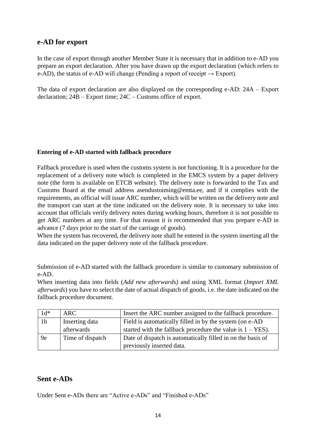#### <span id="page-13-0"></span>**e-AD for export**

In the case of export through another Member State it is necessary that in addition to e-AD you prepare an export declaration. After you have drawn up the export declaration (which refers to e-AD), the status of e-AD will change (Pending a report of receipt  $\rightarrow$  Export).

The data of export declaration are also displayed on the corresponding e-AD: 24A – Export declaration; 24B – Export time; 24C – Customs office of export.

#### **Entering of e-AD started with fallback procedure**

Fallback procedure is used when the customs system is not functioning. It is a procedure for the replacement of a delivery note which is completed in the EMCS system by a paper delivery note (the form is available on ETCB website). The delivery note is forwarded to the Tax and Customs Board at the email address asendustoiming@emta.ee, and if it complies with the requirements, an official will issue ARC number, which will be written on the delivery note and the transport can start at the time indicated on the delivery note. It is necessary to take into account that officials verify delivery notes during working hours, therefore it is not possible to get ARC numbers at any time. For that reason it is recommended that you prepare e-AD in advance (7 days prior to the start of the carriage of goods).

When the system has recovered, the delivery note shall be entered in the system inserting all the data indicated on the paper delivery note of the fallback procedure.

Submission of e-AD started with the fallback procedure is similar to customary submission of e-AD.

When inserting data into fields (*Add new afterwards)* and using XML format (*Import XML afterwards*) you have to select the date of actual dispatch of goods, i.e. the date indicated on the fallback procedure document.

| $1d^*$         | ARC              | Insert the ARC number assigned to the fallback procedure.            |
|----------------|------------------|----------------------------------------------------------------------|
| 1 <sub>h</sub> | Inserting data   | Field is automatically filled in by the system (on e-AD              |
|                | afterwards       | started with the fallback procedure the value is $1 - \text{YES}$ ). |
| 9e             | Time of dispatch | Date of dispatch is automatically filled in on the basis of          |
|                |                  | previously inserted data.                                            |

#### <span id="page-13-1"></span>**Sent e-ADs**

Under Sent e-ADs there are "Active e-ADs" and "Finished e-ADs"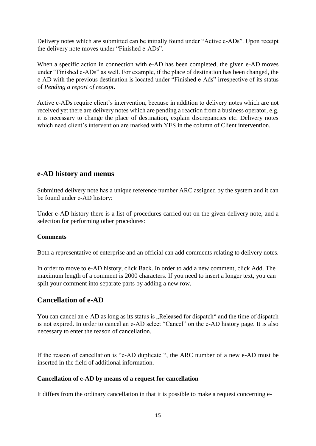Delivery notes which are submitted can be initially found under "Active e-ADs". Upon receipt the delivery note moves under "Finished e-ADs".

When a specific action in connection with e-AD has been completed, the given e-AD moves under "Finished e-ADs" as well. For example, if the place of destination has been changed, the e-AD with the previous destination is located under "Finished e-Ads" irrespective of its status of *Pending a report of receipt*.

Active e-ADs require client's intervention, because in addition to delivery notes which are not received yet there are delivery notes which are pending a reaction from a business operator, e.g. it is necessary to change the place of destination, explain discrepancies etc. Delivery notes which need client's intervention are marked with YES in the column of Client intervention.

### <span id="page-14-0"></span>**e-AD history and menus**

Submitted delivery note has a unique reference number ARC assigned by the system and it can be found under e-AD history:

Under e-AD history there is a list of procedures carried out on the given delivery note, and a selection for performing other procedures:

#### **Comments**

Both a representative of enterprise and an official can add comments relating to delivery notes.

In order to move to e-AD history, click Back. In order to add a new comment, click Add. The maximum length of a comment is 2000 characters. If you need to insert a longer text, you can split your comment into separate parts by adding a new row.

# <span id="page-14-1"></span>**Cancellation of e-AD**

You can cancel an e-AD as long as its status is ...Released for dispatch and the time of dispatch is not expired. In order to cancel an e-AD select "Cancel" on the e-AD history page. It is also necessary to enter the reason of cancellation.

If the reason of cancellation is "e-AD duplicate ", the ARC number of a new e-AD must be inserted in the field of additional information.

#### **Cancellation of e-AD by means of a request for cancellation**

It differs from the ordinary cancellation in that it is possible to make a request concerning e-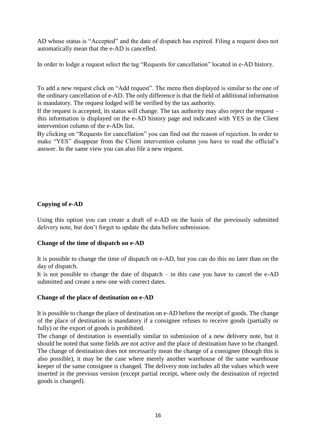AD whose status is "Accepted" and the date of dispatch has expired. Filing a request does not automatically mean that the e-AD is cancelled.

In order to lodge a request select the tag "Requests for cancellation" located in e-AD history.

To add a new request click on "Add request". The menu then displayed is similar to the one of the ordinary cancellation of e-AD. The only difference is that the field of additional information is mandatory. The request lodged will be verified by the tax authority.

If the request is accepted, its status will change. The tax authority may also reject the request – this information is displayed on the e-AD history page and indicated with YES in the Client intervention column of the e-ADs list.

By clicking on "Requests for cancellation" you can find out the reason of rejection. In order to make "YES" disappear from the Client intervention column you have to read the official's answer. In the same view you can also file a new request.

#### <span id="page-15-0"></span>**Copying of e-AD**

Using this option you can create a draft of e-AD on the basis of the previously submitted delivery note, but don't forget to update the data before submission.

#### <span id="page-15-1"></span>**Change of the time of dispatch on e-AD**

It is possible to change the time of dispatch on e-AD, but you can do this no later than on the day of dispatch.

It is not possible to change the date of dispatch – in this case you have to cancel the e-AD submitted and create a new one with correct dates.

#### <span id="page-15-2"></span>**Change of the place of destination on e-AD**

It is possible to change the place of destination on e-AD before the receipt of goods. The change of the place of destination is mandatory if a consignee refuses to receive goods (partially or fully) or the export of goods is prohibited.

The change of destination is essentially similar to submission of a new delivery note, but it should be noted that some fields are not active and the place of destination have to be changed. The change of destination does not necessarily mean the change of a consignee (though this is also possible), it may be the case where merely another warehouse of the same warehouse keeper of the same consignee is changed. The delivery note includes all the values which were inserted in the previous version (except partial receipt, where only the destination of rejected goods is changed).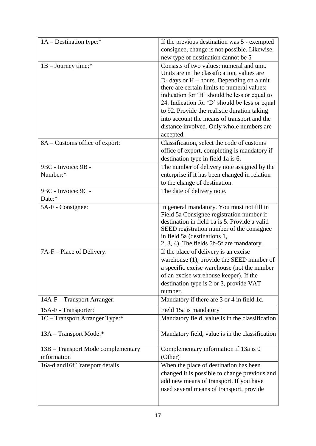| 1A – Destination type:*            | If the previous destination was 5 - exempted                                             |
|------------------------------------|------------------------------------------------------------------------------------------|
|                                    | consignee, change is not possible. Likewise,                                             |
|                                    | new type of destination cannot be 5                                                      |
| $1B -$ Journey time:*              | Consists of two values: numeral and unit.                                                |
|                                    | Units are in the classification, values are                                              |
|                                    | D- days or $H$ – hours. Depending on a unit                                              |
|                                    | there are certain limits to numeral values:                                              |
|                                    | indication for 'H' should be less or equal to                                            |
|                                    | 24. Indication for 'D' should be less or equal                                           |
|                                    | to 92. Provide the realistic duration taking                                             |
|                                    | into account the means of transport and the                                              |
|                                    | distance involved. Only whole numbers are                                                |
|                                    | accepted.                                                                                |
| 8A - Customs office of export:     | Classification, select the code of customs                                               |
|                                    | office of export, completing is mandatory if                                             |
|                                    | destination type in field 1a is 6.                                                       |
| 9BC - Invoice: 9B -                | The number of delivery note assigned by the                                              |
| Number:*                           | enterprise if it has been changed in relation                                            |
|                                    | to the change of destination.                                                            |
| 9BC - Invoice: 9C -                | The date of delivery note.                                                               |
| Date:*                             |                                                                                          |
| 5A-F - Consignee:                  | In general mandatory. You must not fill in                                               |
|                                    | Field 5a Consignee registration number if                                                |
|                                    | destination in field 1a is 5. Provide a valid                                            |
|                                    | SEED registration number of the consignee                                                |
|                                    | in field 5a (destinations 1,                                                             |
|                                    | 2, 3, 4). The fields 5b-5f are mandatory.<br>If the place of delivery is an excise       |
| 7A-F – Place of Delivery:          |                                                                                          |
|                                    | warehouse (1), provide the SEED number of<br>a specific excise warehouse (not the number |
|                                    |                                                                                          |
|                                    | of an excise warehouse keeper). If the                                                   |
|                                    | destination type is 2 or 3, provide VAT<br>number.                                       |
| 14A-F - Transport Arranger:        | Mandatory if there are 3 or 4 in field 1c.                                               |
|                                    |                                                                                          |
| 15A-F - Transporter:               | Field 15a is mandatory                                                                   |
| 1C - Transport Arranger Type:*     | Mandatory field, value is in the classification                                          |
| 13A – Transport Mode:*             | Mandatory field, value is in the classification                                          |
| 13B – Transport Mode complementary | Complementary information if 13a is 0                                                    |
| information                        | (Other)                                                                                  |
| 16a-d and 16f Transport details    | When the place of destination has been                                                   |
|                                    | changed it is possible to change previous and                                            |
|                                    | add new means of transport. If you have                                                  |
|                                    | used several means of transport, provide                                                 |
|                                    |                                                                                          |
|                                    |                                                                                          |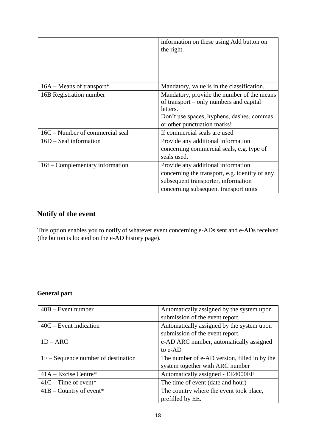|                                 | information on these using Add button on<br>the right.                                                                                                                        |
|---------------------------------|-------------------------------------------------------------------------------------------------------------------------------------------------------------------------------|
| $16A - Means$ of transport*     | Mandatory, value is in the classification.                                                                                                                                    |
| 16B Registration number         | Mandatory, provide the number of the means<br>of transport – only numbers and capital<br>letters.<br>Don't use spaces, hyphens, dashes, commas<br>or other punctuation marks! |
| 16C – Number of commercial seal | If commercial seals are used                                                                                                                                                  |
| $16D -$ Seal information        | Provide any additional information<br>concerning commercial seals, e.g. type of<br>seals used.                                                                                |
| 16f – Complementary information | Provide any additional information<br>concerning the transport, e.g. identity of any<br>subsequent transporter, information<br>concerning subsequent transport units          |

# <span id="page-17-0"></span>**Notify of the event**

This option enables you to notify of whatever event concerning e-ADs sent and e-ADs received (the button is located on the e-AD history page).

### **General part**

| $40B -$ Event number                  | Automatically assigned by the system upon    |
|---------------------------------------|----------------------------------------------|
|                                       | submission of the event report.              |
| $40C$ – Event indication              | Automatically assigned by the system upon    |
|                                       | submission of the event report.              |
| $1D - ARC$                            | e-AD ARC number, automatically assigned      |
|                                       | to e-AD                                      |
| $1F - Sequence$ number of destination | The number of e-AD version, filled in by the |
|                                       | system together with ARC number              |
| $41A - Excise Centre*$                | Automatically assigned - EE4000EE            |
| $41C - Time$ of event*                | The time of event (date and hour)            |
| $41B$ – Country of event*             | The country where the event took place,      |
|                                       | prefilled by EE.                             |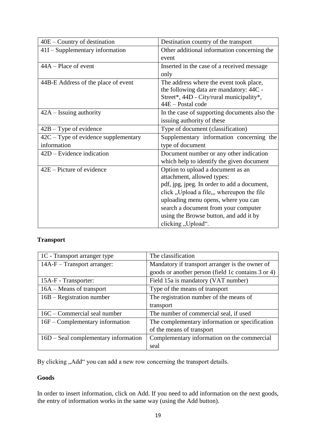| $40E$ – Country of destination         | Destination country of the transport         |
|----------------------------------------|----------------------------------------------|
| $41I -$ Supplementary information      | Other additional information concerning the  |
|                                        | event                                        |
| $44A - Place$ of event                 | Inserted in the case of a received message.  |
|                                        | only                                         |
| 44B-E Address of the place of event    | The address where the event took place,      |
|                                        | the following data are mandatory: 44C -      |
|                                        | Street*, 44D - City/rural municipality*,     |
|                                        | 44E - Postal code                            |
| $42A - Issuing authority$              | In the case of supporting documents also the |
|                                        | issuing authority of these                   |
| $42B - Type$ of evidence               | Type of document (classification)            |
| $42C - Type$ of evidence supplementary | Supplementary information concerning the     |
| information                            | type of document                             |
| $42D$ – Evidence indication            | Document number or any other indication      |
|                                        | which help to identify the given document    |
| $42E -$ Picture of evidence            | Option to upload a document as an            |
|                                        | attachment, allowed types:                   |
|                                        | pdf, jpg, jpeg. In order to add a document,  |
|                                        | click, Upload a file, whereupon the file     |
|                                        | uploading menu opens, where you can          |
|                                        | search a document from your computer         |
|                                        | using the Browse button, and add it by       |
|                                        | clicking, Upload".                           |

#### **Transport**

| 1C - Transport arranger type           | The classification                                 |
|----------------------------------------|----------------------------------------------------|
| $14A-F-Transport arrangement$ :        | Mandatory if transport arranger is the owner of    |
|                                        | goods or another person (field 1c contains 3 or 4) |
| 15A-F - Transporter:                   | Field 15a is mandatory (VAT number)                |
| 16A – Means of transport               | Type of the means of transport                     |
| $16B - Registeration number$           | The registration number of the means of            |
|                                        | transport                                          |
| 16C – Commercial seal number           | The number of commercial seal, if used             |
| $16F$ – Complementary information      | The complementary information or specification     |
|                                        | of the means of transport                          |
| $16D -$ Seal complementary information | Complementary information on the commercial        |
|                                        | seal                                               |

By clicking "Add" you can add a new row concerning the transport details.

#### **Goods**

In order to insert information, click on Add. If you need to add information on the next goods, the entry of information works in the same way (using the Add button).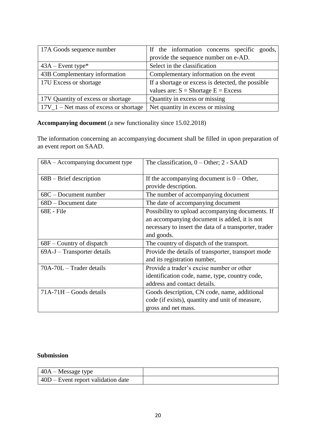| 17A Goods sequence number                | If the information concerns specific goods,       |
|------------------------------------------|---------------------------------------------------|
|                                          | provide the sequence number on e-AD.              |
| $43A$ – Event type*                      | Select in the classification                      |
| 43B Complementary information            | Complementary information on the event            |
| 17U Excess or shortage                   | If a shortage or excess is detected, the possible |
|                                          | values are: $S = Shortage E = Excess$             |
| 17V Quantity of excess or shortage       | Quantity in excess or missing                     |
| $17V_1 - Net$ mass of excess or shortage | Net quantity in excess or missing                 |

### **Accompanying document** (a new functionality since 15.02.2018)

The information concerning an accompanying document shall be filled in upon preparation of an event report on SAAD.

| 68A – Accompanying document type | The classification, $0 -$ Other; $2 -$ SAAD           |
|----------------------------------|-------------------------------------------------------|
| $68B - B$ rief description       | If the accompanying document is $0 -$ Other,          |
|                                  | provide description.                                  |
| $68C - Document$ number          | The number of accompanying document                   |
| 68D – Document date              | The date of accompanying document                     |
| 68E - File                       | Possibility to upload accompanying documents. If      |
|                                  | an accompanying document is added, it is not          |
|                                  | necessary to insert the data of a transporter, trader |
|                                  | and goods.                                            |
| $68F$ – Country of dispatch      | The country of dispatch of the transport.             |
| $69A-J - Transporter details$    | Provide the details of transporter, transport mode    |
|                                  | and its registration number,                          |
| $70A-70L$ – Trader details       | Provide a trader's excise number or other             |
|                                  | identification code, name, type, country code,        |
|                                  | address and contact details.                          |
| $71A-71H - Goods$ details        | Goods description, CN code, name, additional          |
|                                  | code (if exists), quantity and unit of measure,       |
|                                  | gross and net mass.                                   |

#### **Submission**

| $\vert$ 40A – Message type                 |  |
|--------------------------------------------|--|
| $\vert$ 40D – Event report validation date |  |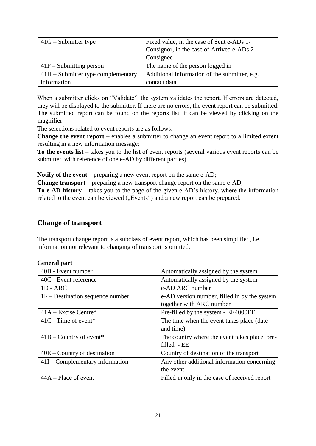| $41G -$ Submitter type               | Fixed value, in the case of Sent e-ADs 1-     |
|--------------------------------------|-----------------------------------------------|
|                                      | Consignor, in the case of Arrived e-ADs 2 -   |
|                                      | Consignee                                     |
| $41F -$ Submitting person            | The name of the person logged in              |
| $41H -$ Submitter type complementary | Additional information of the submitter, e.g. |
| information                          | contact data                                  |

When a submitter clicks on "Validate", the system validates the report. If errors are detected, they will be displayed to the submitter. If there are no errors, the event report can be submitted. The submitted report can be found on the reports list, it can be viewed by clicking on the magnifier.

The selections related to event reports are as follows:

**Change the event report** – enables a submitter to change an event report to a limited extent resulting in a new information message;

**To the events list** – takes you to the list of event reports (several various event reports can be submitted with reference of one e-AD by different parties).

**Notify of the event** – preparing a new event report on the same e-AD;

**Change transport** – preparing a new transport change report on the same e-AD;

**To e-AD history** – takes you to the page of the given e-AD's history, where the information related to the event can be viewed ("Events") and a new report can be prepared.

#### <span id="page-20-0"></span>**Change of transport**

The transport change report is a subclass of event report, which has been simplified, i.e. information not relevant to changing of transport is omitted.

| <b>General part</b> |  |
|---------------------|--|
|---------------------|--|

| 40B - Event number                 | Automatically assigned by the system          |
|------------------------------------|-----------------------------------------------|
| 40C - Event reference              | Automatically assigned by the system          |
| $1D - ARC$                         | e-AD ARC number                               |
| $1F$ – Destination sequence number | e-AD version number, filled in by the system  |
|                                    | together with ARC number                      |
| $41A - Excise$ Centre*             | Pre-filled by the system - EE4000EE           |
| $41C$ - Time of event*             | The time when the event takes place (date     |
|                                    | and time)                                     |
| $41B$ – Country of event*          | The country where the event takes place, pre- |
|                                    | filled - EE                                   |
| $40E$ – Country of destination     | Country of destination of the transport       |
| $41I$ – Complementary information  | Any other additional information concerning   |
|                                    | the event                                     |
| $44A - Place$ of event             | Filled in only in the case of received report |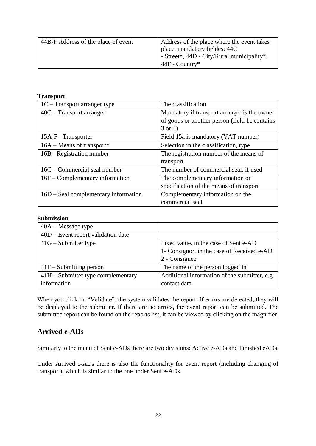| 44B-F Address of the place of event | Address of the place where the event takes |
|-------------------------------------|--------------------------------------------|
|                                     | place, mandatory fieldes: 44C              |
|                                     | - Street*, 44D - City/Rural municipality*, |
|                                     | $44F - Country*$                           |

#### **Transport**

| $1C - Transport$ arranger type       | The classification                            |
|--------------------------------------|-----------------------------------------------|
| $40C - Transport$ arranger           | Mandatory if transport arranger is the owner  |
|                                      | of goods or another person (field 1c contains |
|                                      | $3$ or 4)                                     |
| 15A-F - Transporter                  | Field 15a is mandatory (VAT number)           |
| $16A - Means$ of transport*          | Selection in the classification, type         |
| 16B - Registration number            | The registration number of the means of       |
|                                      | transport                                     |
| 16C – Commercial seal number         | The number of commercial seal, if used        |
| 16F – Complementary information      | The complementary information or              |
|                                      | specification of the means of transport       |
| 16D – Seal complementary information | Complementary information on the              |
|                                      | commercial seal                               |

#### **Submission**

| $40A - Message$ type                 |                                               |
|--------------------------------------|-----------------------------------------------|
| $40D$ – Event report validation date |                                               |
| $41G -$ Submitter type               | Fixed value, in the case of Sent e-AD         |
|                                      | 1- Consignor, in the case of Received e-AD    |
|                                      | 2 - Consignee                                 |
| $41F -$ Submitting person            | The name of the person logged in              |
| $41H -$ Submitter type complementary | Additional information of the submitter, e.g. |
| information                          | contact data                                  |

When you click on "Validate", the system validates the report. If errors are detected, they will be displayed to the submitter. If there are no errors, the event report can be submitted. The submitted report can be found on the reports list, it can be viewed by clicking on the magnifier.

# <span id="page-21-0"></span>**Arrived e-ADs**

Similarly to the menu of Sent e-ADs there are two divisions: Active e-ADs and Finished eADs.

Under Arrived e-ADs there is also the functionality for event report (including changing of transport), which is similar to the one under Sent e-ADs.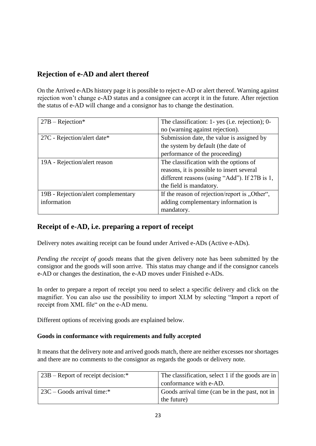# <span id="page-22-0"></span>**Rejection of e-AD and alert thereof**

On the Arrived e-ADs history page it is possible to reject e-AD or alert thereof. Warning against rejection won't change e-AD status and a consignee can accept it in the future. After rejection the status of e-AD will change and a consignor has to change the destination.

| $27B - Rejection*$                  | The classification: 1- yes (i.e. rejection); 0- |
|-------------------------------------|-------------------------------------------------|
|                                     | no (warning against rejection).                 |
| 27C - Rejection/alert date*         | Submission date, the value is assigned by       |
|                                     | the system by default (the date of              |
|                                     | performance of the proceeding)                  |
| 19A - Rejection/alert reason        | The classification with the options of          |
|                                     | reasons, it is possible to insert several       |
|                                     | different reasons (using "Add"). If 27B is 1,   |
|                                     | the field is mandatory.                         |
| 19B - Rejection/alert complementary | If the reason of rejection/report is "Other",   |
| information                         | adding complementary information is             |
|                                     | mandatory.                                      |

# <span id="page-22-1"></span>**Receipt of e-AD, i.e. preparing a report of receipt**

Delivery notes awaiting receipt can be found under Arrived e-ADs (Active e-ADs).

*Pending the receipt of goods* means that the given delivery note has been submitted by the consignor and the goods will soon arrive. This status may change and if the consignor cancels e-AD or changes the destination, the e-AD moves under Finished e-ADs.

In order to prepare a report of receipt you need to select a specific delivery and click on the magnifier. You can also use the possibility to import XLM by selecting "Import a report of receipt from XML file" on the e-AD menu.

Different options of receiving goods are explained below.

#### <span id="page-22-2"></span>**Goods in conformance with requirements and fully accepted**

It means that the delivery note and arrived goods match, there are neither excesses nor shortages and there are no comments to the consignor as regards the goods or delivery note.

| $23B$ – Report of receipt decision:* | The classification, select 1 if the goods are in |
|--------------------------------------|--------------------------------------------------|
|                                      | conformance with e-AD.                           |
| $23C -$ Goods arrival time:*         | Goods arrival time (can be in the past, not in   |
|                                      | the future)                                      |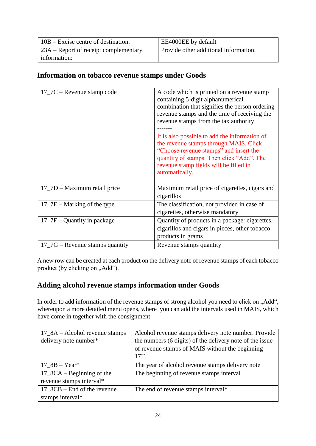| $10B - Excise$ centre of destination:   | EE4000EE by default                   |
|-----------------------------------------|---------------------------------------|
| $23A -$ Report of receipt complementary | Provide other additional information. |
| information:                            |                                       |

### <span id="page-23-0"></span>**Information on tobacco revenue stamps under Goods**

| $17\_7C$ – Revenue stamp code                  | A code which is printed on a revenue stamp<br>containing 5-digit alphanumerical<br>combination that signifies the person ordering<br>revenue stamps and the time of receiving the<br>revenue stamps from the tax authority<br>It is also possible to add the information of<br>the revenue stamps through MAIS. Click<br>"Choose revenue stamps" and insert the<br>quantity of stamps. Then click "Add". The<br>revenue stamp fields will be filled in<br>automatically. |
|------------------------------------------------|--------------------------------------------------------------------------------------------------------------------------------------------------------------------------------------------------------------------------------------------------------------------------------------------------------------------------------------------------------------------------------------------------------------------------------------------------------------------------|
| 17_7D – Maximum retail price                   | Maximum retail price of cigarettes, cigars and<br>cigarillos                                                                                                                                                                                                                                                                                                                                                                                                             |
| $17$ – $7E$ – Marking of the type              | The classification, not provided in case of<br>cigarettes, otherwise mandatory                                                                                                                                                                                                                                                                                                                                                                                           |
| $17$ $7F -$ Quantity in package                | Quantity of products in a package: cigarettes,<br>cigarillos and cigars in pieces, other tobacco<br>products in grams                                                                                                                                                                                                                                                                                                                                                    |
| $17$ <sub>-7</sub> G – Revenue stamps quantity | Revenue stamps quantity                                                                                                                                                                                                                                                                                                                                                                                                                                                  |

A new row can be created at each product on the delivery note of revenue stamps of each tobacco product (by clicking on "Add").

# <span id="page-23-1"></span>**Adding alcohol revenue stamps information under Goods**

In order to add information of the revenue stamps of strong alcohol you need to click on "Add", whereupon a more detailed menu opens, where you can add the intervals used in MAIS, which have come in together with the consignment.

| $17\_8A - Alcohol$ revenue stamps | Alcohol revenue stamps delivery note number. Provide     |
|-----------------------------------|----------------------------------------------------------|
| delivery note number*             | the numbers (6 digits) of the delivery note of the issue |
|                                   | of revenue stamps of MAIS without the beginning          |
|                                   | 17T.                                                     |
| 17 $8B - Year*$                   | The year of alcohol revenue stamps delivery note         |
| $17\_8CA - Beginning$ of the      | The beginning of revenue stamps interval                 |
| revenue stamps interval*          |                                                          |
| $17\_8CB - End$ of the revenue    | The end of revenue stamps interval*                      |
| stamps interval*                  |                                                          |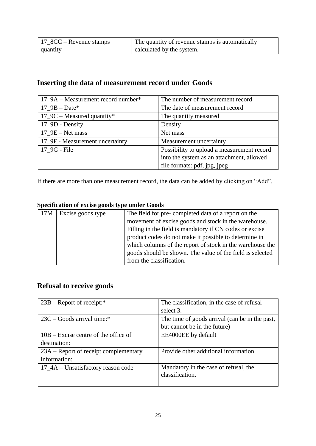| $17\_8CC -$ Revenue stamps | The quantity of revenue stamps is automatically |
|----------------------------|-------------------------------------------------|
| quantity                   | calculated by the system.                       |

# <span id="page-24-0"></span>**Inserting the data of measurement record under Goods**

| 17_9A – Measurement record number* | The number of measurement record           |
|------------------------------------|--------------------------------------------|
| $17_9B - Date*$                    | The date of measurement record             |
| $17\_9C$ – Measured quantity*      | The quantity measured                      |
| 17_9D - Density                    | Density                                    |
| $17\_9E - Net mass$                | Net mass                                   |
| 17_9F - Measurement uncertainty    | Measurement uncertainty                    |
| 17 9G - File                       | Possibility to upload a measurement record |
|                                    | into the system as an attachment, allowed  |
|                                    | file formats: pdf, jpg, jpeg               |

If there are more than one measurement record, the data can be added by clicking on "Add".

### **Specification of excise goods type under Goods**

| 17M | Excise goods type | The field for pre-completed data of a report on the       |
|-----|-------------------|-----------------------------------------------------------|
|     |                   | movement of excise goods and stock in the warehouse.      |
|     |                   | Filling in the field is mandatory if CN codes or excise   |
|     |                   | product codes do not make it possible to determine in     |
|     |                   | which columns of the report of stock in the warehouse the |
|     |                   | goods should be shown. The value of the field is selected |
|     |                   | from the classification.                                  |

# <span id="page-24-1"></span>**Refusal to receive goods**

| $23B -$ Report of receipt:*            | The classification, in the case of refusal               |
|----------------------------------------|----------------------------------------------------------|
|                                        | select 3.                                                |
| $23C -$ Goods arrival time:*           | The time of goods arrival (can be in the past,           |
|                                        | but cannot be in the future)                             |
| $10B - Excise$ centre of the office of | EE4000EE by default                                      |
| destination:                           |                                                          |
| 23A – Report of receipt complementary  | Provide other additional information.                    |
| information:                           |                                                          |
| 17_4A – Unsatisfactory reason code     | Mandatory in the case of refusal, the<br>classification. |
|                                        |                                                          |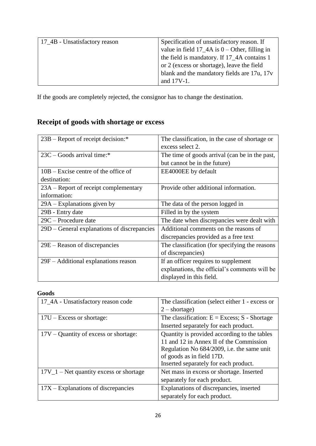| 17 <sub>-4</sub> B - Unsatisfactory reason | Specification of unsatisfactory reason. If        |
|--------------------------------------------|---------------------------------------------------|
|                                            | value in field $17_4A$ is $0$ – Other, filling in |
|                                            | the field is mandatory. If 17_4A contains 1       |
|                                            | or 2 (excess or shortage), leave the field        |
|                                            | blank and the mandatory fields are 17u, 17v       |
|                                            | and 17V-1.                                        |

If the goods are completely rejected, the consignor has to change the destination.

# <span id="page-25-0"></span>**Receipt of goods with shortage or excess**

| $23B$ – Report of receipt decision:*        | The classification, in the case of shortage or |
|---------------------------------------------|------------------------------------------------|
|                                             | excess select 2.                               |
| 23C – Goods arrival time:*                  | The time of goods arrival (can be in the past, |
|                                             | but cannot be in the future)                   |
| $10B - Excise$ centre of the office of      | EE4000EE by default                            |
| destination:                                |                                                |
| 23A – Report of receipt complementary       | Provide other additional information.          |
| information:                                |                                                |
| $29A - Explanations$ given by               | The data of the person logged in               |
| 29B - Entry date                            | Filled in by the system                        |
| $29C -$ Procedure date                      | The date when discrepancies were dealt with    |
| 29D – General explanations of discrepancies | Additional comments on the reasons of          |
|                                             | discrepancies provided as a free text          |
| 29E – Reason of discrepancies               | The classification (for specifying the reasons |
|                                             | of discrepancies)                              |
| $29F - Additional explanations reason$      | If an officer requires to supplement           |
|                                             | explanations, the official's comments will be  |
|                                             | displayed in this field.                       |

#### **Goods**

| 17_4A - Unsatisfactory reason code        | The classification (select either 1 - excess or |
|-------------------------------------------|-------------------------------------------------|
|                                           | $2$ – shortage)                                 |
| $17U - Excess$ or shortage:               | The classification: $E = Excess$ ; S - Shortage |
|                                           | Inserted separately for each product.           |
| $17V -$ Quantity of excess or shortage:   | Quantity is provided according to the tables    |
|                                           | 11 and 12 in Annex II of the Commission         |
|                                           | Regulation No 684/2009, i.e. the same unit      |
|                                           | of goods as in field 17D.                       |
|                                           | Inserted separately for each product.           |
| $17V_1$ – Net quantity excess or shortage | Net mass in excess or shortage. Inserted        |
|                                           | separately for each product.                    |
| $17X$ – Explanations of discrepancies     | Explanations of discrepancies, inserted         |
|                                           | separately for each product.                    |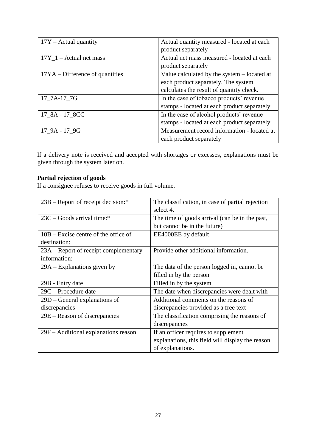| $17Y -$ Actual quantity           | Actual quantity measured - located at each  |
|-----------------------------------|---------------------------------------------|
|                                   | product separately                          |
| $17Y_1 -$ Actual net mass         | Actual net mass measured - located at each  |
|                                   | product separately                          |
| $17YA - Difference of quantities$ | Value calculated by the system - located at |
|                                   | each product separately. The system         |
|                                   | calculates the result of quantity check.    |
| 17 7A-17 7G                       | In the case of tobacco products' revenue    |
|                                   | stamps - located at each product separately |
| 17_8A - 17_8CC                    | In the case of alcohol products' revenue    |
|                                   | stamps - located at each product separately |
| 17 9A - 17 9G                     | Measurement record information - located at |
|                                   | each product separately                     |

If a delivery note is received and accepted with shortages or excesses, explanations must be given through the system later on.

# **Partial rejection of goods**

If a consignee refuses to receive goods in full volume.

| $23B$ – Report of receipt decision:*   | The classification, in case of partial rejection |
|----------------------------------------|--------------------------------------------------|
|                                        | select 4.                                        |
| $23C -$ Goods arrival time:*           | The time of goods arrival (can be in the past,   |
|                                        | but cannot be in the future)                     |
| $10B - Excise$ centre of the office of | EE4000EE by default                              |
| destination:                           |                                                  |
| 23A – Report of receipt complementary  | Provide other additional information.            |
| information:                           |                                                  |
| $29A - Explanations$ given by          | The data of the person logged in, cannot be      |
|                                        | filled in by the person                          |
| 29B - Entry date                       | Filled in by the system                          |
| 29C – Procedure date                   | The date when discrepancies were dealt with      |
| 29D - General explanations of          | Additional comments on the reasons of            |
| discrepancies                          | discrepancies provided as a free text            |
| 29E – Reason of discrepancies          | The classification comprising the reasons of     |
|                                        | discrepancies                                    |
| 29F – Additional explanations reason   | If an officer requires to supplement             |
|                                        | explanations, this field will display the reason |
|                                        | of explanations.                                 |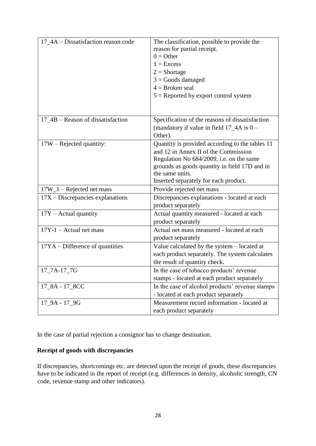| 17_4A – Dissatisfaction reason code | The classification, possible to provide the<br>reason for partial receipt.<br>$0 =$ Other<br>$1 = Excess$<br>$2 = Shortage$<br>$3 =$ Goods damaged<br>$4 =$ Broken seal<br>$5 =$ Reported by export control system                               |
|-------------------------------------|--------------------------------------------------------------------------------------------------------------------------------------------------------------------------------------------------------------------------------------------------|
| $17_4B$ – Reason of dissatisfaction | Specification of the reasons of dissatisfaction<br>(mandatory if value in field $17_4A$ is $0 -$<br>Other).                                                                                                                                      |
| $17W$ – Rejected quantity:          | Quantity is provided according to the tables 11<br>and 12 in Annex II of the Commission<br>Regulation No 684/2009, i.e. on the same<br>grounds as goods quantity in field 17D and in<br>the same units.<br>Inserted separately for each product. |
| $17W_1$ – Rejected net mass         | Provide rejected net mass                                                                                                                                                                                                                        |
| $17X - Discrepancies$ explanations  | Discrepancies explanations - located at each<br>product separately                                                                                                                                                                               |
| $17Y - \text{Actual quantity}$      | Actual quantity measured - located at each<br>product separately                                                                                                                                                                                 |
| $17Y-1$ – Actual net mass           | Actual net mass measured - located at each<br>product separately                                                                                                                                                                                 |
| 17YA – Difference of quantities     | Value calculated by the system - located at<br>each product separately. The system calculates<br>the result of quantity check.                                                                                                                   |
| 17_7A-17_7G                         | In the case of tobacco products' revenue<br>stamps - located at each product separately                                                                                                                                                          |
| 17_8A - 17_8CC                      | In the case of alcohol products' revenue stamps<br>- located at each product separately                                                                                                                                                          |
| 17_9A - 17_9G                       | Measurement record information - located at<br>each product separately                                                                                                                                                                           |

In the case of partial rejection a consignor has to change destination.

#### **Receipt of goods with discrepancies**

If discrepancies, shortcomings etc. are detected upon the receipt of goods, these discrepancies have to be indicated in the report of receipt (e.g. differences in density, alcoholic strength, CN code, revenue stamp and other indicators).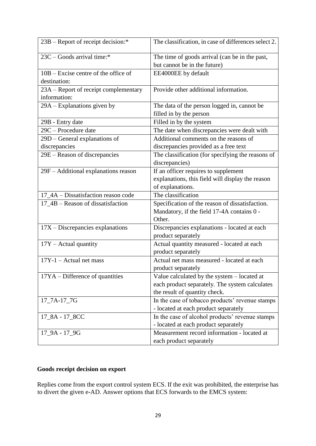| 23B – Report of receipt decision:*                     | The classification, in case of differences select 2.                           |
|--------------------------------------------------------|--------------------------------------------------------------------------------|
| 23C – Goods arrival time:*                             | The time of goods arrival (can be in the past,<br>but cannot be in the future) |
| $10B - Excise$ centre of the office of<br>destination: | EE4000EE by default                                                            |
|                                                        | Provide other additional information.                                          |
| 23A – Report of receipt complementary<br>information:  |                                                                                |
| 29A – Explanations given by                            | The data of the person logged in, cannot be                                    |
|                                                        | filled in by the person                                                        |
| 29B - Entry date                                       | Filled in by the system                                                        |
| 29C - Procedure date                                   | The date when discrepancies were dealt with                                    |
| 29D - General explanations of                          | Additional comments on the reasons of                                          |
| discrepancies                                          | discrepancies provided as a free text                                          |
| 29E – Reason of discrepancies                          | The classification (for specifying the reasons of                              |
|                                                        | discrepancies)                                                                 |
| 29F – Additional explanations reason                   | If an officer requires to supplement                                           |
|                                                        | explanations, this field will display the reason                               |
|                                                        | of explanations.                                                               |
| 17_4A – Dissatisfaction reason code                    | The classification                                                             |
| 17_4B – Reason of dissatisfaction                      | Specification of the reason of dissatisfaction.                                |
|                                                        | Mandatory, if the field 17-4A contains 0 -                                     |
|                                                        | Other.                                                                         |
| $17X - Discrepancies$ explanations                     | Discrepancies explanations - located at each                                   |
|                                                        | product separately                                                             |
| $17Y - \text{Actual quantity}$                         | Actual quantity measured - located at each                                     |
|                                                        | product separately                                                             |
| $17Y-1$ – Actual net mass                              | Actual net mass measured - located at each                                     |
|                                                        | product separately                                                             |
| $17YA - Difference of quantities$                      | Value calculated by the system – located at                                    |
|                                                        | each product separately. The system calculates                                 |
|                                                        | the result of quantity check.                                                  |
| 17_7A-17_7G                                            | In the case of tobacco products' revenue stamps                                |
|                                                        | - located at each product separately                                           |
| 17_8A - 17_8CC                                         | In the case of alcohol products' revenue stamps                                |
|                                                        | - located at each product separately                                           |
| 17_9A - 17_9G                                          | Measurement record information - located at                                    |
|                                                        | each product separately                                                        |

# **Goods receipt decision on export**

Replies come from the export control system ECS. If the exit was prohibited, the enterprise has to divert the given e-AD. Answer options that ECS forwards to the EMCS system: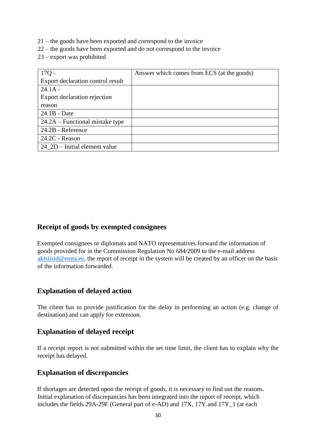- 21 the goods have been exported and correspond to the invoice
- 22 the goods have been exported and do not correspond to the invoice
- 23 export was prohibited

| $17Q -$                            | Answer which comes from ECS (at the goods) |
|------------------------------------|--------------------------------------------|
| Export declaration control result  |                                            |
| $24.1A -$                          |                                            |
| Export declaration rejection       |                                            |
| reason                             |                                            |
| $24.1B - Date$                     |                                            |
| $24.2A$ – Functional mistake type  |                                            |
| 24.2B - Reference                  |                                            |
| $24.2C$ - Reason                   |                                            |
| $24\_\$ 2D – Initial element value |                                            |

#### <span id="page-29-0"></span>**Receipt of goods by exempted consignees**

Exempted consignees or diplomats and NATO representatives forward the information of goods provided for in the Commission Regulation No 684/2009 to the e-mail address aktsiisid@emta.ee, the report of receipt in the system will be created by an officer on the basis of the information forwarded.

#### <span id="page-29-1"></span>**Explanation of delayed action**

The client has to provide justification for the delay in performing an action (e.g. change of destination) and can apply for extension.

#### <span id="page-29-2"></span>**Explanation of delayed receipt**

If a receipt report is not submitted within the set time limit, the client has to explain why the receipt has delayed.

#### <span id="page-29-3"></span>**Explanation of discrepancies**

If shortages are detected upon the receipt of goods, it is necessary to find out the reasons. Initial explanation of discrepancies has been integrated into the report of receipt, which includes the fields 29A-29F (General part of e-AD) and 17X, 17Y and 17Y\_1 (at each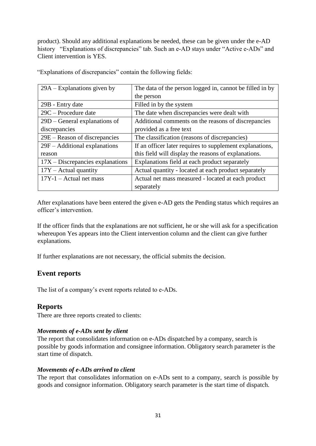product). Should any additional explanations be needed, these can be given under the e-AD history "Explanations of discrepancies" tab. Such an e-AD stays under "Active e-ADs" and Client intervention is YES.

| $29A - Explanations given by$      | The data of the person logged in, cannot be filled in by |
|------------------------------------|----------------------------------------------------------|
|                                    | the person                                               |
| 29B - Entry date                   | Filled in by the system                                  |
| $29C -$ Procedure date             | The date when discrepancies were dealt with              |
| $29D$ – General explanations of    | Additional comments on the reasons of discrepancies      |
| discrepancies                      | provided as a free text                                  |
| 29E – Reason of discrepancies      | The classification (reasons of discrepancies)            |
| $29F - Additional explanations$    | If an officer later requires to supplement explanations, |
| reason                             | this field will display the reasons of explanations.     |
| $17X - Discrepancies$ explanations | Explanations field at each product separately            |
| $17Y - \text{Actual quantity}$     | Actual quantity - located at each product separately     |
| $17Y-1$ – Actual net mass          | Actual net mass measured - located at each product       |
|                                    | separately                                               |

"Explanations of discrepancies" contain the following fields:

After explanations have been entered the given e-AD gets the Pending status which requires an officer's intervention.

If the officer finds that the explanations are not sufficient, he or she will ask for a specification whereupon Yes appears into the Client intervention column and the client can give further explanations.

If further explanations are not necessary, the official submits the decision.

#### **Event reports**

The list of a company's event reports related to e-ADs.

#### <span id="page-30-0"></span>**Reports**

There are three reports created to clients:

#### *Movements of e-ADs sent by client*

The report that consolidates information on e-ADs dispatched by a company, search is possible by goods information and consignee information. Obligatory search parameter is the start time of dispatch.

#### *Movements of e-ADs arrived to client*

The report that consolidates information on e-ADs sent to a company, search is possible by goods and consignor information. Obligatory search parameter is the start time of dispatch.